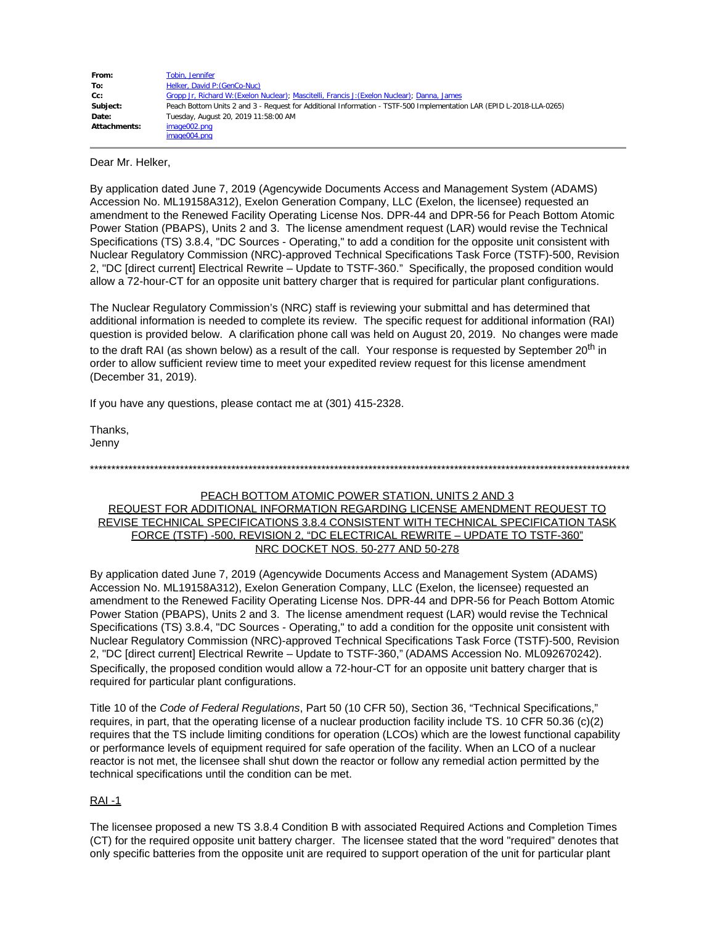| From:               | Tobin, Jennifer                                                                                                      |
|---------------------|----------------------------------------------------------------------------------------------------------------------|
| To:                 | Helker, David P: (GenCo-Nuc)                                                                                         |
| Cc:                 | Gropp Jr, Richard W: (Exelon Nuclear); Mascitelli, Francis J: (Exelon Nuclear); Danna, James                         |
| Subject:            | Peach Bottom Units 2 and 3 - Request for Additional Information - TSTF-500 Implementation LAR (EPID L-2018-LLA-0265) |
| Date:               | Tuesday, August 20, 2019 11:58:00 AM                                                                                 |
| <b>Attachments:</b> | image002.png                                                                                                         |
|                     | image004.png                                                                                                         |

Dear Mr. Helker,

By application dated June 7, 2019 (Agencywide Documents Access and Management System (ADAMS) Accession No. ML19158A312), Exelon Generation Company, LLC (Exelon, the licensee) requested an amendment to the Renewed Facility Operating License Nos. DPR-44 and DPR-56 for Peach Bottom Atomic Power Station (PBAPS), Units 2 and 3. The license amendment request (LAR) would revise the Technical Specifications (TS) 3.8.4, "DC Sources - Operating," to add a condition for the opposite unit consistent with Nuclear Regulatory Commission (NRC)-approved Technical Specifications Task Force (TSTF)-500, Revision 2, "DC [direct current] Electrical Rewrite – Update to TSTF-360." Specifically, the proposed condition would allow a 72-hour-CT for an opposite unit battery charger that is required for particular plant configurations.

The Nuclear Regulatory Commission's (NRC) staff is reviewing your submittal and has determined that additional information is needed to complete its review. The specific request for additional information (RAI) question is provided below. A clarification phone call was held on August 20, 2019. No changes were made to the draft RAI (as shown below) as a result of the call. Your response is requested by September 20<sup>th</sup> in order to allow sufficient review time to meet your expedited review request for this license amendment (December 31, 2019).

If you have any questions, please contact me at (301) 415-2328.

Thanks, Jenny

\*\*\*\*\*\*\*\*\*\*\*\*\*\*\*\*\*\*\*\*\*\*\*\*\*\*\*\*\*\*\*\*\*\*\*\*\*\*\*\*\*\*\*\*\*\*\*\*\*\*\*\*\*\*\*\*\*\*\*\*\*\*\*\*\*\*\*\*\*\*\*\*\*\*\*\*\*\*\*\*\*\*\*\*\*\*\*\*\*\*\*\*\*\*\*\*\*\*\*\*\*\*\*\*\*\*\*\*\*\*\*\*\*\*\*\*\*\*\*\*\*\*\*\*\*\*

## PEACH BOTTOM ATOMIC POWER STATION, UNITS 2 AND 3

## REQUEST FOR ADDITIONAL INFORMATION REGARDING LICENSE AMENDMENT REQUEST TO REVISE TECHNICAL SPECIFICATIONS 3.8.4 CONSISTENT WITH TECHNICAL SPECIFICATION TASK FORCE (TSTF) -500, REVISION 2, "DC ELECTRICAL REWRITE – UPDATE TO TSTF-360" NRC DOCKET NOS. 50-277 AND 50-278

By application dated June 7, 2019 (Agencywide Documents Access and Management System (ADAMS) Accession No. ML19158A312), Exelon Generation Company, LLC (Exelon, the licensee) requested an amendment to the Renewed Facility Operating License Nos. DPR-44 and DPR-56 for Peach Bottom Atomic Power Station (PBAPS), Units 2 and 3. The license amendment request (LAR) would revise the Technical Specifications (TS) 3.8.4, "DC Sources - Operating," to add a condition for the opposite unit consistent with Nuclear Regulatory Commission (NRC)-approved Technical Specifications Task Force (TSTF)-500, Revision 2, "DC [direct current] Electrical Rewrite – Update to TSTF-360," (ADAMS Accession No. ML092670242). Specifically, the proposed condition would allow a 72-hour-CT for an opposite unit battery charger that is required for particular plant configurations.

Title 10 of the *Code of Federal Regulations*, Part 50 (10 CFR 50), Section 36, "Technical Specifications," requires, in part, that the operating license of a nuclear production facility include TS. 10 CFR 50.36 (c)(2) requires that the TS include limiting conditions for operation (LCOs) which are the lowest functional capability or performance levels of equipment required for safe operation of the facility. When an LCO of a nuclear reactor is not met, the licensee shall shut down the reactor or follow any remedial action permitted by the technical specifications until the condition can be met.

## RAI -1

The licensee proposed a new TS 3.8.4 Condition B with associated Required Actions and Completion Times (CT) for the required opposite unit battery charger. The licensee stated that the word "required" denotes that only specific batteries from the opposite unit are required to support operation of the unit for particular plant